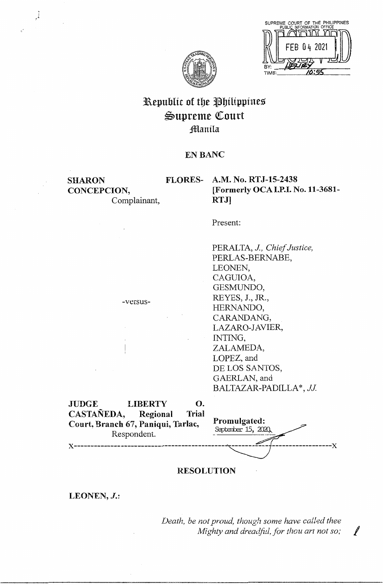



## Republic of the Philippines Supreme Court ;!ffilanila

**SHARON CONCEPCION,**  Complainant,

-versus-

# **EN BANC<br>FLORES- A.M. No. RTJ-15-2438 A.M. No. RTJ-15-2438 [Formerly OCAI.P.I. No.11-3681- RTJ]**

Present:<br>PERALTA, *J., Chief Justice*, PERLAS-BERNABE, LEONEN, CAGUIOA, GESMUNDO, REYES, **J., JR.,**  HERNANDO, CARANDANG, LAZARO-JAVIER, INTING, ZALAMEDA, LOPEZ, and DE LOS SANTOS, GAERLAN, and BALTAZAR-PADILLA\*, JJ

| <b>JUDGE</b>                       | <b>LIBERTY</b> | O.    |                                     |  |
|------------------------------------|----------------|-------|-------------------------------------|--|
| CASTAÑEDA,                         | Regional       | Trial |                                     |  |
| Court, Branch 67, Paniqui, Tarlac, | Respondent.    |       | Promulgated:<br>September 15, 2020, |  |
|                                    |                |       |                                     |  |

### **RESOLUTION**

LEONEN, *J.*:

*Death, be not proud, though some have called thee Mighty and dreadful, for thou art not so;* 

~l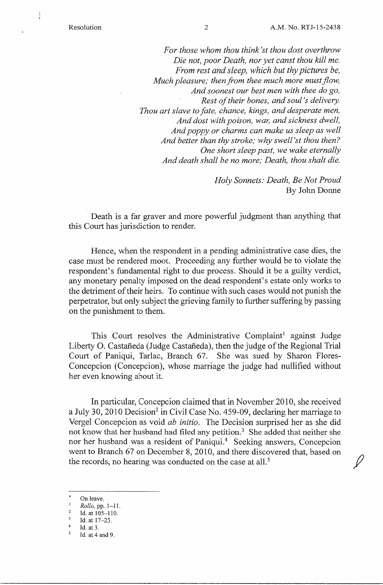ĺ

*For those whom thou think'st thou dost overthrow Die not, poor Death, nor yet canst thou kill me. From rest and sleep, which but thy pictures be, Much pleasure; then from thee much more must flow, And soonest our best men with thee do go, Rest of their bones, and soul's delivery. Thou art slave to fate, chance, kings, and desperate men, And dost with poison, war, and sickness dwell, And poppy or charms can make us sleep as well And better than thy stroke; why swell 'st thou then? One short sleep past, we wake eternally And death shall be no more; Death, thou shalt die.* 

> *Holy Sonnets: Death, Be Not Proud*  By John Donne

Death is a far graver and more powerful judgment than anything that this Court has jurisdiction to render.

Hence, when the respondent in a pending administrative case dies, the case must be rendered moot. Proceeding any further would be to violate the respondent's fundamental right to due process. Should it be a guilty verdict, any monetary penalty imposed on the dead respondent's estate only works to the detriment of their heirs. To continue with such cases would not punish the perpetrator, but only subject the grieving family to further suffering by passing on the punishment to them.

This Court resolves the Administrative Complaint<sup>1</sup> against Judge Liberty O. Castañeda (Judge Castañeda), then the judge of the Regional Trial Court of Paniqui, Tarlac, Branch 67. She was sued by Sharon Flores-Concepcion (Concepcion), whose marriage the judge had nullified without her even knowing about it.

In particular, Concepcion claimed that in November 2010, she received a July 30, 2010 Decision<sup>2</sup> in Civil Case No. 459-09, declaring her marriage to Vergel Concepcion as void *ab initio.* The Decision surprised her as she did not know that her husband had filed any petition.<sup>3</sup> She added that neither she nor her husband was a resident of Paniqui.<sup>4</sup> Seeking answers, Concepcion went to Branch 67 on December 8, 2010, and there discovered that, based on the records, no hearing was conducted on the case at all.<sup>5</sup>

- On leave.
- <sup>1</sup> *Rollo*, pp. 1-11.<br><sup>2</sup> *Id.* at 105, 110.
- <sup>2</sup> Id. at  $105-110$ .  $\overline{\mathbf{3}}$

 $4$  Id. at 3.

Id. at 17-25.

 $<sup>5</sup>$  Id. at 4 and 9.</sup>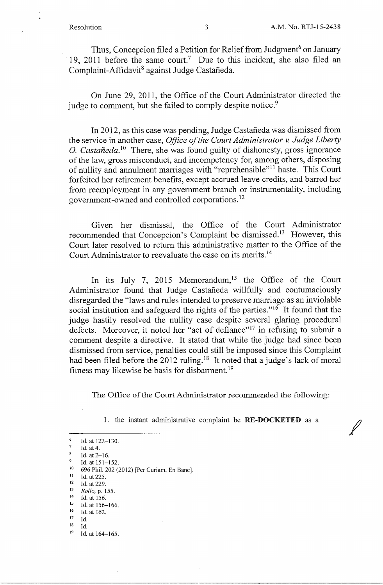$\ell$ 

Thus, Concepcion filed a Petition for Relief from Judgment<sup>6</sup> on January 19, 2011 before the same court.<sup>7</sup> Due to this incident, she also filed an Complaint-Affidavit<sup>8</sup> against Judge Castañeda.

On June 29, 2011, the Office of the Court Administrator directed the judge to comment, but she failed to comply despite notice.<sup>9</sup>

In 2012, as this case was pending, Judge Castaneda was dismissed from the service in another case, *Office of the Court Administrator v. Judge Liberty*  O. *Castañeda*.<sup>10</sup> There, she was found guilty of dishonesty, gross ignorance of the law, gross misconduct, and incompetency for, among others, disposing of nullity and annulment marriages with "reprehensible"<sup>11</sup> haste. This Court forfeited her retirement benefits, except accrued leave credits, and barred her from reemployment in any government branch or instrumentality, including government-owned and controlled corporations. <sup>12</sup>

Given her dismissal, the Office of the Court Administrator recommended that Concepcion's Complaint be dismissed.<sup>13</sup> However, this Court later resolved to return this administrative matter to the Office of the Court Administrator to reevaluate the case on its merits.<sup>14</sup>

In its July 7, 2015 Memorandum,<sup>15</sup> the Office of the Court Administrator found that Judge Castaneda willfully and contumaciously disregarded the "laws and rules intended to preserve marriage as an inviolable social institution and safeguard the rights of the parties."<sup>16</sup> It found that the judge hastily resolved the nullity case despite several glaring procedural defects. Moreover, it noted her "act of defiance"<sup>17</sup> in refusing to submit a comment despite a directive. It stated that while the judge had since been dismissed from service, penalties could still be imposed since this Complaint had been filed before the 2012 ruling.<sup>18</sup> It noted that a judge's lack of moral fitness may likewise be basis for disbarment.<sup>19</sup>

The Office of the Court Administrator recommended the following:

1. the instant administrative complaint be **RE-DOCKETED** as a

- $11$  Id. at 225.
- $12$  Id. at 229.

<sup>15</sup> Id. at 156-166.

 $17$  Id.

 $^6$  Id. at 122–130.

 $^7$  Id. at 4.

 $8$  Id. at 2-16.

 $9$  Id. at 151–152.

 $^{10}$  696 Phil. 202 (2012) [Per Curiam, En Banc].

<sup>13</sup>*Rollo,* p. 155.  $14$  Id. at 156.

 $16$  Id. at 162.

 $^{18}$  Id.

<sup>&</sup>lt;sup>19</sup> Id. at 164-165.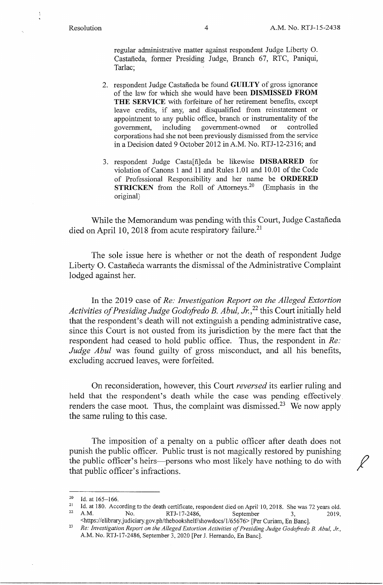regular administrative matter against respondent Judge Liberty 0. Castaneda, former Presiding Judge, Branch 67, RTC, Paniqui, Tarlac;

- 2. respondent Judge Castaneda be found **GUILTY** of gross ignorance of the law for which she would have been **DISMISSED FROM THE SERVICE** with forfeiture of her retirement benefits, except leave credits, if any, and disqualified from reinstatement or appointment to any public office, branch or instrumentality of the government, including government-owned or controlled corporations had she not been previously dismissed from the service in a Decision dated 9 October 2012 inA.M. No. RTJ-12-2316; and
- 3. respondent Judge Casta[fi]eda be likewise **DISBARRED** for violation of Canons 1 and 11 and Rules 1.01 and 10.01 of the Code of Professional Responsibility and her name be **ORDERED STRICKEN** from the Roll of Attorneys.<sup>20</sup> (Emphasis in the original)

While the Memorandum was pending with this Court, Judge Castañeda died on April 10, 2018 from acute respiratory failure.<sup>21</sup>

The sole issue here is whether or not the death of respondent Judge Liberty O. Castañeda warrants the dismissal of the Administrative Complaint lodged against her.

In the 2019 case of *Re: Investigation Report on the Alleged Extortion Activities of Presiding Judge Godofredo B. Abul, Jr.*<sup>22</sup> this Court initially held that the respondent's death will not extinguish a pending administrative case, since this Court is not ousted from its jurisdiction by the mere fact that the respondent had ceased to hold public office. Thus, the respondent in *Re: Judge Abu!* was found guilty of gross misconduct, and all his benefits, excluding accrued leaves, were forfeited.

On reconsideration, however, this Court *reversed* its earlier ruling and held that the respondent's death while the case was pending effectively renders the case moot. Thus, the complaint was dismissed.<sup>23</sup> We now apply the same ruling to this case.

The imposition of a penalty on a public officer after death does not punish the public officer. Public trust is not magically restored by punishing the public officer's heirs-persons who most likely have nothing to do with that public officer's infractions.

<sup>&</sup>lt;sup>20</sup> Id. at  $165-166$ .

<sup>&</sup>lt;sup>21</sup> Id. at 180. According to the death certificate, respondent died on April 10, 2018. She was 72 years old.<br><sup>22</sup> A.M. No. RTJ-17-2486. September 3. 2019. No. RTJ-17-2486, September 3, 2019,

<sup>&</sup>lt;https://elibrary.judiciary.gov.ph/thebookshelf/showdocs/1/65676> [Per Curiam, En Banc].

<sup>23</sup>*Re: Investigation Report on the Alleged Extortion Activities of Presiding Judge Godofredo B. Abu!, Jr.,*  A.M. No. RTJ-17-2486, September 3, 2020 [Per J. Hernando, En Banc].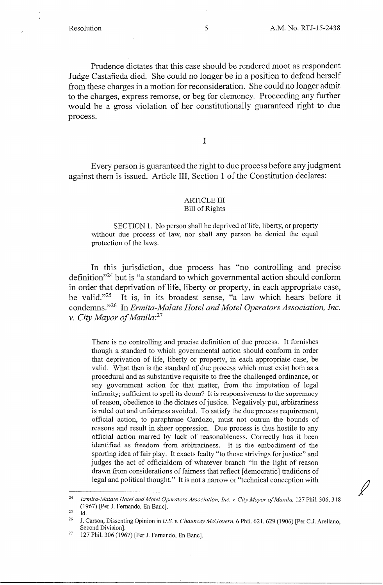$\epsilon$ 

*I* 

Prudence dictates that this case should be rendered moot as respondent Judge Castañeda died. She could no longer be in a position to defend herself from these charges in a motion for reconsideration. She could no longer admit to the charges, express remorse, or beg for clemency. Proceeding any further would be a gross violation of her constitutionally guaranteed right to due process.

I

Every person is guaranteed the right to due process before any judgment against them is issued. Article III, Section l of the Constitution declares:

#### ARTICLE III Bill of Rights

SECTION 1. No person shall be deprived of life, liberty, or property without due process of law, nor shall any person be denied the equal protection of the laws.

In this jurisdiction, due process has "no controlling and precise definition"24 but is "a standard to which governmental action should conform in order that deprivation of life, liberty or property, in each appropriate case, be valid."25 It is, in its broadest sense, "a law which hears before it condemns."26 In *Ermita-Malate Hotel and Motel Operators Association, Inc. v. City Mayor of Manila: <sup>27</sup>*

There is no controlling and precise definition of due process. It furnishes though a standard to which governmental action should conform in order that deprivation of life, liberty or property, in each appropriate case, be valid. What then is the standard of due process which must exist both as a procedural and as substantive requisite to free the challenged ordinance, or any government action for that matter, from the imputation of legal infirmity; sufficient to spell its doom? It is responsiveness to the supremacy of reason, obedience to the dictates of justice. Negatively put, arbitrariness is ruled out and unfairness avoided. To satisfy the due process requirement, official action, to paraphrase Cardozo, must not outrun the bounds of reasons and result in sheer oppression. Due process is thus hostile to any official action marred by lack of reasonableness. Correctly has it been identified as freedom from arbitrariness. It is the embodiment of the sporting idea of fair play. It exacts fealty "to those strivings for justice" and judges the act of officialdom of whatever branch "in the light of reason drawn from considerations of fairness that reflect [democratic] traditions of legal and political thought." It is not a narrow or "technical conception with

<sup>&</sup>lt;sup>24</sup> Ermita-Malate Hotel and Motel Operators Association, Inc. v. City Mayor of Manila, 127 Phil. 306, 318 (1967) [Per J. Fernando, En Banc].

 $^{25}$  Id.

<sup>&</sup>lt;sup>26</sup> J. Carson, Dissenting Opinion in *U.S. v. Chauncey McGovern*, 6 Phil. 621, 629 (1906) [Per C.J. Arellano, Second Division].

<sup>&</sup>lt;sup>27</sup> 127 Phil. 306 (1967) [Per J. Fernando, En Banc].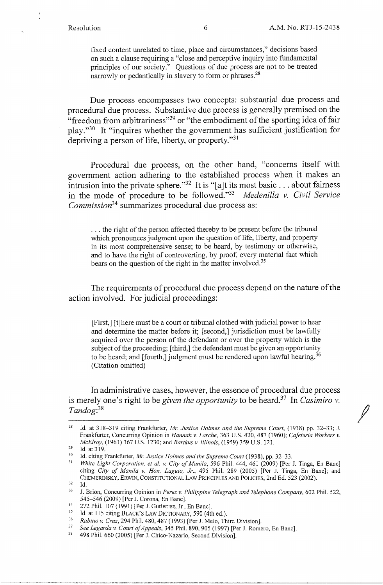fixed content unrelated to time, place and circumstances," decisions based on such a clause requiring a "close and perceptive inquiry into fundamental principles of our society." Questions of due process are not to be treated narrowly or pedantically in slavery to form or phrases.<sup>28</sup>

Due process encompasses two concepts: substantial due process and procedural due process. Substantive due process is generally premised on the "freedom from arbitrariness"<sup>29</sup> or "the embodiment of the sporting idea of fair play."30 It "inquires whether the government has sufficient justification for depriving a person of life, liberty, or property."<sup>31</sup>

Procedural due process, on the other hand, "concerns itself with government action adhering to the established process when it makes an intrusion into the private sphere."<sup>32</sup> It is "[a]t its most basic . . . about fairness in the mode of procedure to be followed."<sup>33</sup>*Medenilla v. Civil Service Commission*<sup>34</sup> summarizes procedural due process as:

... the right of the person affected thereby to be present before the tribunal which pronounces judgment upon the question of life, liberty, and property in its most comprehensive sense; to be heard, by testimony or otherwise, and to have the right of controverting, by proof, every material fact which bears on the question of the right in the matter involved.<sup>35</sup>

The requirements of procedural due process depend on the nature of the action involved. For judicial proceedings:

[First,] [t]here must be a court or tribunal clothed with judicial power to hear and determine the matter before it; [second,] jurisdiction must be lawfully acquired over the person of the defendant or over the property which is the subject of the proceeding; [third,] the defendant must be given an opportunity to be heard; and [fourth,] judgment must be rendered upon lawful hearing.<sup>36</sup> (Citation omitted)

In administrative cases, however, the essence of procedural due process is merely one's right to be *given the opportunity* to be heard.<sup>37</sup> In *Casimiro v.*<br>Tandog:<sup>38</sup>

<sup>28</sup> Id. at 318-319 citing Frankfurter, *Mr. Justice Holmes and the Supreme Court,* (1938) pp. 32-33; J. Frankfurter, Concurring Opinion in *Hannah v. Larche,* 363 U.S. 420, 487 (1960); *Cafeteria Workers v. McElroy,* (1961) 367 U.S. 1230; and *Bartkus v. Illinois,* (1959) 359 U.S. 121.

 $29$  Id. at  $319$ .

<sup>&</sup>lt;sup>30</sup> Id. citing Frankfurter, *Mr. Justice Holmes and the Supreme Court* (1938), pp. 32–33.<br><sup>31</sup> White Light Corporation at al. y. City of Manila, 506 Phil. 444, 461 (2000) Flor.

<sup>31</sup>*White Light Corporation, et al. v. City of Manila,* 596 Phil. 444, 461 (2009) [Per J. Tinga, En Banc] citing *City of Manila v. Hon. Laguio, Jr.,* 495 Phil. 289 (2005) [Per J. Tinga, En Banc]; and CHEMERINSKY, ERWIN, CONSTITUTIONAL LAW PRINCIPLES AND POLICIES, 2nd Ed. 523 (2002).

<sup>32</sup> Id.

<sup>33</sup> J. Brion, Concurring Opinion in *Perez v. Philippine Telegraph and Telephone Company,* 602 Phil. 522, 545-546 (2009) [Per J. Corona, En Banc].

<sup>&</sup>lt;sup>34</sup> 272 Phil. 107 (1991) [Per J. Gutierrez, Jr., En Banc].<br><sup>35</sup> Id. at 115 citing BLACK's LAW DICTIONARY, 500 (4th

<sup>&</sup>lt;sup>35</sup> Id. at 115 citing BLACK'S LAW DICTIONARY, 590 (4th ed.).<br><sup>36</sup> Rahino y Cruz, 294 Phil 480, 487 (1993) [Per J. Melo, Th

<sup>36</sup>*Rabino v. Cruz,* 294 Phil. 480, 487 (1993) [Per J. Melo, Third Division].

<sup>37</sup>*See Legarda v. Court of Appeals,* 345 Phil. 890,905 (1997) [Per J. Romero, En Banc].

<sup>38 498</sup> Phil. 660 (2005) [Per J. Chico-Nazario, Second Division].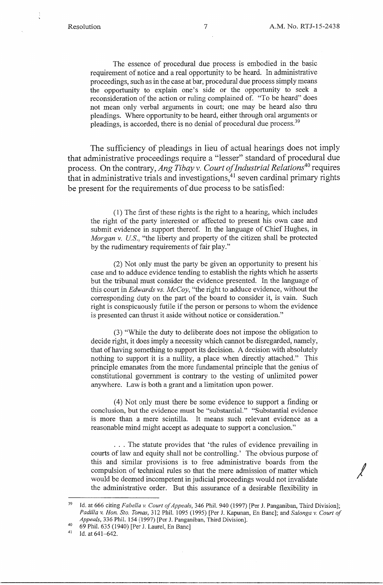The essence of procedural due process is embodied in the basic requirement of notice and a real opportunity to be heard. In administrative proceedings, such as in the case at bar, procedural due process simply means the opportunity to explain one's side or the opportunity to seek a reconsideration of the action or ruling complained of. "To be heard" does not mean only verbal arguments in court; one may be heard also thru pleadings. Where opportunity to be heard, either through oral arguments or pleadings, is accorded, there is no denial of procedural due process.<sup>39</sup>

The sufficiency of pleadings in lieu of actual hearings does not imply that administrative proceedings require a "lesser" standard of procedural due process. On the contrary, Ang Tibay v. Court of Industrial Relations<sup>40</sup> requires that in administrative trials and investigations,  $41$  seven cardinal primary rights be present for the requirements of due process to be satisfied:

(1) The first of these rights is the right to a hearing, which includes the right of the party interested or affected to present his own case and submit evidence in support thereof. In the language of Chief Hughes, in *Morgan v. US.,* "the liberty and property of the citizen shall be protected by the rudimentary requirements of fair play."

(2) Not only must the party be given an opportunity to present his · case and to adduce evidence tending to establish the rights which he asserts but the tribunal must consider the evidence presented. In the language of this court in *Edwards vs. McCoy,* "the right to adduce evidence, without the corresponding duty on the part of the board to consider it, is vain. Such right is conspicuously futile if the person or persons to whom the evidence is presented can thrust it aside without notice or consideration."

(3) "While the duty to deliberate does not impose the obligation to decide right, it does imply a necessity which cannot be disregarded, namely, that of having something to support its decision. A decision with absolutely nothing to support it is a nullity, a place when directly attached." This principle emanates from the more fundamental principle that the genius of constitutional government is contrary to the vesting of unlimited power anywhere. Law is both a grant and a limitation upon power.

(4) Not only must there be some evidence to support a finding or conclusion, but the evidence must be "substantial." "Substantial evidence is more than a mere scintilla. It means such relevant evidence as a reasonable mind might accept as adequate to support a conclusion."

. . . The statute provides that 'the rules of evidence prevailing in courts of law and equity shall not be controlling.' The obvious purpose of this and similar provisions is to free administrative boards from the compulsion of technical rules so that the mere admission of matter which would be deemed incompetent in judicial proceedings would not invalidate the administrative order. But this assurance of a desirable flexibility in

<sup>39</sup> Id. at 666 citing *Fabe/la v. Court of Appeals,* 346 Phil. 940 (1997) [Per J. Panganiban, Third Division]; *Padilla v. Hon. Sto. Tomas,* 312 Phil. 1095 (1995) [Per J. Kapunan, En Banc]; and *Salonga v. Court of Appeals,* 336 Phil. 154 (1997) [Per J. Panganiban, Third Division].

<sup>40 69</sup> Phil. 635 (1940) [Per J. Laurel, En Banc]

<sup>&</sup>lt;sup>41</sup> Id. at  $641-642$ .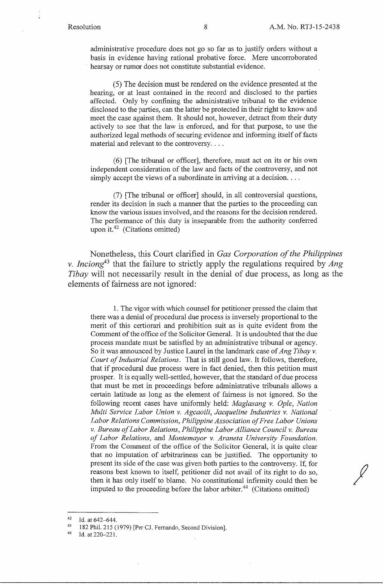administrative procedure does not go so far as to justify orders without a basis in evidence having rational probative force. Mere uncorroborated hearsay or rumor does not constitute substantial evidence.

(5) The decision must be rendered on the evidence presented at the hearing, or at least contained in the record and disclosed to the parties affected. Only by confining the administrative tribunal to the evidence disclosed to the parties, can the latter be protected in their right to know and meet the case against them. It should not, however, detract from their duty actively to see that the law is enforced, and for that purpose, to use the authorized legal methods of securing evidence and informing itself of facts material and relevant to the controversy....

(6) [The tribunal or officer], therefore, must act on its or his own independent consideration of the law and facts of the controversy, and not simply accept the views of a subordinate in arriving at a decision....

(7) [The tribunal or officer] should, in all controversial questions, render its decision in such a manner that the parties to the proceeding can know the various issues involved, and the reasons for the decision rendered. The performance of this duty is inseparable from the authority conferred upon it.42 (Citations omitted)

Nonetheless, this Court clarified in *Gas Corporation of the Philippines v. lnciong43* that the failure to strictly apply the regulations required by *Ang Tibay* will not necessarily result in the denial of due process, as long as the elements of fairness are not ignored:

1. The vigor with which counsel for petitioner pressed the claim that there was a denial of procedural due process is inversely proportional to the merit of this certiorari and prohibition suit as is quite evident from the Comment of the office of the Solicitor General. It is undoubted that the due process mandate must be satisfied by an administrative tribunal or agency. So it was announced by Justice Laurel in the landmark case of *Ang Tibay v. Court of Industrial Relations.* That is still good law. It follows, therefore, that if procedural due process were in fact denied, then this petition must prosper. It is equally well-settled, however, that the standard of due process that must be met in proceedings before administrative tribunals allows a certain latitude as long as the element of fairness is not ignored. So the following recent cases have uniformly held: *Maglasang v. Ople, Nation Multi Service Labor Union v. Agcaoili, Jacqueline Industries v. National Labor Relations Commission, Philippine Association of Free Labor Unions v. Bureau of Labor Relations, Philippine Labor Alliance Council v. Bureau of Labor Relations,* and *Montemayor v. Araneta University Foundation.*  From the Comment of the office of the Solicitor General, it is quite clear that no imputation of arbitrariness can be justified. The opportunity to present its side of the case was given both parties to the controversy. If, for reasons best known to itself, petitioner did not avail of its right to do so, then it has only itself to blame. No constitutional infirmity could then be imputed to the proceeding before the labor arbiter.<sup>44</sup> (Citations omitted)

 $42$  Id. at  $642 - 644$ .

<sup>43 182</sup> Phil. 215 (1979) [Per CJ. Fernando, Second Division].

 $44$  Id. at 220–221.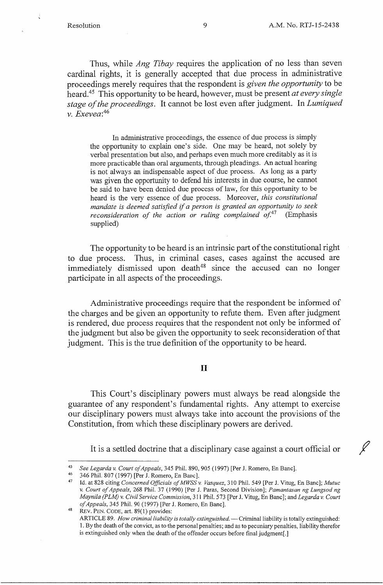Thus, while *Ang Tibay* requires the application of no less than seven cardinal rights, it is generally accepted that due process in administrative proceedings merely requires that the respondent is *given the opportunity* to be heard.45 This opportunity to be heard, however, must be present *at every single stage of the proceedings.* It cannot be lost even after judgment. In *Lumiqued v. Exevea:<sup>46</sup>*

In administrative proceedings, the essence of due process is simply the opportunity to explain one's side. One may be heard, not solely by verbal presentation but also, and perhaps even much more creditably as it is more practicable than oral arguments, through pleadings. An actual hearing is not always an indispensable aspect of due process. As long as a party was given the opportunity to defend his interests in due course, he cannot be said to have been denied due process of law, for this opportunity to be heard is the very essence of due process. Moreover, *this constitutional mandate is deemed satisfied* if *a person is granted an opportunity to seek reconsideration of the action or ruling complained of.*<sup>47</sup> (Emphasis supplied)

The opportunity to be heard is an intrinsic part of the constitutional right to due process. Thus, in criminal cases, cases against the accused are immediately dismissed upon death $48$  since the accused can no longer participate in all aspects of the proceedings.

Administrative proceedings require that the respondent be informed of the charges and be given an opportunity to refute them. Even after judgment is rendered, due process requires that the respondent not only be informed of the judgment but also be given the opportunity to seek reconsideration of that judgment. This is the true definition of the opportunity to be heard.

### II

This Court's disciplinary powers must always be read alongside the guarantee of any respondent's fundamental rights. Any attempt to exercise our disciplinary powers must always take into account the provisions of the Constitution, from which these disciplinary powers are derived.

It is a settled doctrine that a disciplinary case against a court official or *f* 

46 346 Phil. 807 (1997) [Per J. Romero, En Banc].

REV. PEN. CODE, art. 89(1) provides: ARTICLE 89. *How criminal liability is totally extinguished.* - Criminal liability is totally extinguished: 1. By the death of the convict, as to-the personal penalties; and as to pecuniary penalties, liability therefor is extinguished only when the death of the offender occurs before final judgment[.]

<sup>45</sup>*See Legarda v. Court of Appeals,* 345 Phil. 890, 905 (1997) [Per J. Romero, En Banc].

<sup>47</sup> Id. at 828 citing *Concerned Officials ofMWSS v. Vasquez,* 310 Phil. 549 [Per J. Vitug, En Banc]; *Mutuc v. Court of Appeals,* 268 Phil. 37 (1990) [Per J. Paras, Second Division]; *Pamantasan ng Lungsod ng Maynila (PLM) v. Civil Service Commission,* 311 Phil. 573 (Per J. Vitug, En Banc]; and *Legardav. Court of Appeals,* 345 Phil. 90 (1997) [Per J. Romero, En Banc].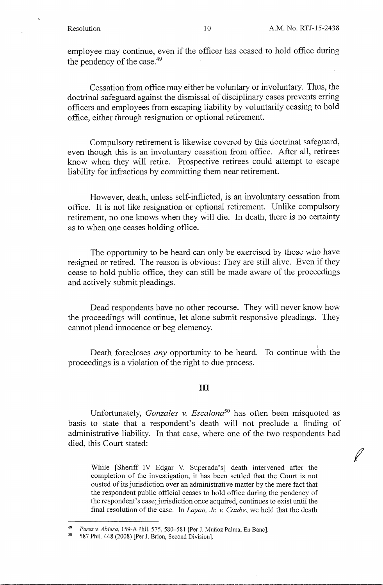)

*f* 

employee may continue, even if the officer has ceased to hold office during the pendency of the case.<sup>49</sup>

Cessation from office may either be voluntary or involuntary. Thus, the doctrinal safeguard against the dismissal of disciplinary cases prevents erring officers and employees from escaping liability by voluntarily ceasing to hold office, either through resignation or optional retirement.

Compulsory retirement is likewise covered by this doctrinal safeguard, even though this is an involuntary cessation from office. After all, retirees know when they will retire. Prospective retirees could attempt to escape liability for infractions by committing them near retirement.

However, death, unless self-inflicted, is an involuntary cessation from office. It is not like resignation or optional retirement. Unlike compulsory retirement, no one knows when they will die. In death, there is no certainty as to when one ceases holding office.

The opportunity to be heard can only be exercised by those who have resigned or retired. The reason is obvious: They are still alive. Even if they cease to hold public office, they can still be made aware of the proceedings and actively submit pleadings.

Dead respondents have no other recourse. They will never know how the proceedings will continue, let alone submit responsive pleadings. They cannot plead innocence or beg clemency.

Death forecloses *any* opportunity to be heard. To continue with the proceedings is a violation of the right to due process.

#### III

Unfortunately, *Gonzales v. Escalona<sup>50</sup>*has often been misquoted as basis to state that a respondent's death will not preclude a finding of administrative liability. In that case, where one of the two respondents had died, this Court stated:

While [Sheriff IV Edgar V. Superada's] death intervened after the completion of the investigation, it has been settled that the Court is not ousted of its jurisdiction over an administrative matter by the mere fact that the respondent public official ceases to hold office during the pendency of the respondent's case; jurisdiction once acquired, continues to exist until the final resolution of the case. In *Layao, Jr.* v. *Caube,* we held that the death

<sup>49</sup>*Perez v. Abiera,* 159-A Phil. 575, 580-581 [Per J. Mufioz Palma, En Banc].

<sup>587</sup> Phil. 448 (2008) [Per J. Brion, Second Division].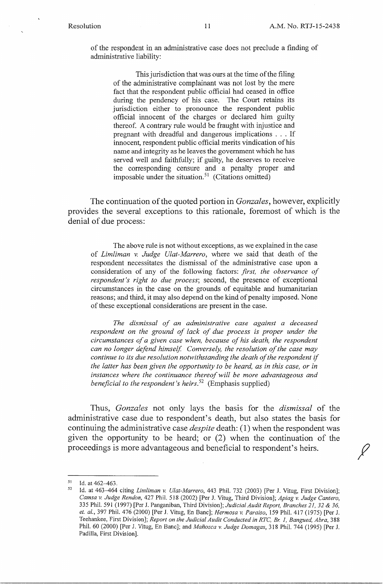of the respondent in an administrative case does not preclude a finding of administrative liability:

This jurisdiction that was ours at the time of the filing of the administrative complainant was not lost by the mere fact that the respondent public official had ceased in office during the pendency of his case. The Court retains its jurisdiction either to pronounce the respondent public official innocent of the charges or declared him guilty thereof. A contrary rule would be fraught with injustice and pregnant with dreadful and dangerous implications . . . If innocent, respondent public official merits vindication of his name and integrity as he leaves the government which he has served well and faithfully; if guilty, he deserves to receive the corresponding censure and a penalty proper and imposable under the situation.<sup>51</sup> (Citations omitted)

The continuation of the quoted portion in *Gonzales,* however, explicitly provides the several exceptions to this rationale, foremost of which is the denial of due process:

The above rule is not without exceptions, as we explained in the case of *Limliman v. Judge Ulat-Marrero,* where we said that death of the respondent necessitates the dismissal of the administrative case upon a consideration of any of the following factors: *first, the observance of respondent's right to due process;* second, the presence of exceptional circumstances in the case on the grounds of equitable and humanitarian reasons; and third, it may also depend on the kind of penalty imposed. None of these exceptional considerations are present in the case.

*The dismissal of an administrative case against a deceased*  respondent on the ground of lack of due process is proper under the *circumstances of a given case when, because of his death, the respondent can no longer defend himself Conversely, the resolution of the case may continue to its due resolution notwithstanding the death of the respondent* if *the latter has been given the opportunity to be heard, as in this case, or in instances where the continuance thereof will be more advantageous and beneficial to the respondent's heirs.*<sup>52</sup> (Emphasis supplied)

Thus, *Gonzales* not only lays the basis for the *dismissal* of the administrative case due to respondent's death, but also states the basis for continuing the administrative case *despite* death: (I) when the respondent was given the opportunity to be heard; or (2) when the continuation of the proceedings is more advantageous and beneficial to respondent's heirs.

 $51$  Id. at 462-463.

<sup>52</sup> Id. at 463-464 citing *Limliman v. Ulat-Marrero,* 443 Phil. 732 (2003) [Per J. Vitug, First Division]; *Camsa v. Judge Rendon,* 427 Phil. 518 (2002) [Per J. Vitug, Third Division]; *Apiag* v. *Judge Cantero,*  335 Phil. 591 (1997) [Per J. Panganiban, Third Division]; *Judicial Audit Report, Branches 21, 32 & 36, et. al.,* 397 Phil. 476 (2000) [Per J. Vitug, En Banc]; *Hermosa v. Paraiso,* 159 Phil. 417 (1975) [Per J. Teehankee, First Division]; *Report on the Judicial Audit Conducted in RTC,* Br. *I, Bangued, Abra,* 388 Phil. 60 (2000) [Per J. Vitug, En Banc]; and *Manozca v. Judge Domagas,* 318 Phil. 744 (1995) [Per J. Padilla, First Division].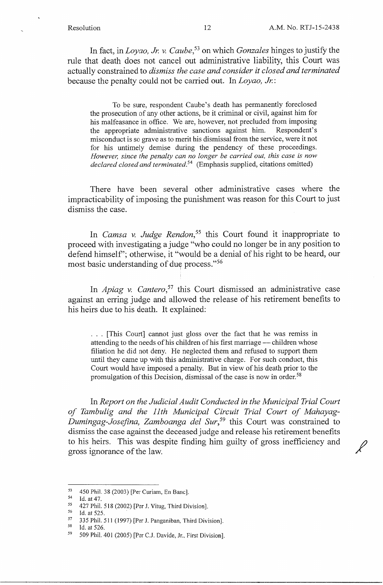$\cancel{\mathscr{N}}$ 

In fact, in *Loyao, Jr.* v. *Caube,* 53 on which *Gonzales* hinges to justify the rule that death does not cancel out administrative liability, this Court was actually constrained to *dismiss the case and consider it closed and terminated*  because the penalty could not be carried out. In *Loyao, Jr.* :

To be sure, respondent Caube's death has permanently foreclosed the prosecution of any other actions, be it criminal or civil, against him for his malfeasance in office. We are, however, not precluded from imposing the appropriate administrative sanctions against him. Respondent's misconduct is so grave as to merit his dismissal from the service, were it not for his untimely demise during the pendency of these proceedings. *However, since the penalty can no longer be carried out, this case is now declared closed and terminated.* 54 (Emphasis supplied, citations omitted)

There have been several other administrative cases where the impracticability of imposing the punishment was reason for this Court to just dismiss the case.

In *Camsa v. Judge Rendon*,<sup>55</sup> this Court found it inappropriate to proceed with investigating a judge "who could no longer be in any position to defend himself'; otherwise, it "would be a denial of his right to be heard, our most basic understanding of due process."<sup>56</sup>

In *Apiag v. Cantero*,<sup>57</sup> this Court dismissed an administrative case against an erring judge and allowed the release of his retirement benefits to his heirs due to his death. It explained:

... [This Court] cannot just gloss over the fact that he was remiss in attending to the needs of his children of his first marriage — children whose filiation he did not deny. He neglected them and refused to support them until they came up with this administrative charge. For such conduct, this Court would have imposed a penalty. But in view of his death prior to the promulgation of this Decision, dismissal of the case is now in order.<sup>58</sup>

In *Report on the Judicial Audit Conducted in the Municipal Trial Court*  of Tambulig and the 11th Municipal Circuit Trial Court of Mahayag-*Dumingag-Josefina, Zamboanga del Sur, <sup>59</sup>*this Court was constrained to dismiss the case against the deceased judge and release his retirement benefits to his heirs. This was despite finding him guilty of gross inefficiency and gross ignorance of the law.

Id. at 526.

<sup>53 450</sup> Phil. 38 (2003) [Per Curiam, En Banc].<br>54 H et  $47$ 

Id. at 47.

<sup>&</sup>lt;sup>55</sup> 427 Phil. 518 (2002) [Per J. Vitug, Third Division].<br><sup>56</sup> Id. at 525

<sup>&</sup>lt;sup>56</sup> Id. at 525.

 $^{57}$  335 Phil. 511 (1997) [Per J. Panganiban, Third Division].<br> $^{58}$  Id at 526

<sup>59 509</sup> Phil.401 (2005) [Per C.J. Davide, Jr., First Division].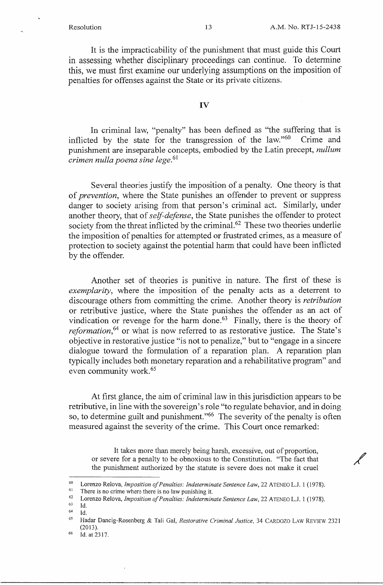/

It is the impracticability of the punishment that must guide this Court in assessing whether disciplinary proceedings can continue. To determine this, we must first examine our underlying assumptions on the imposition of penalties for offenses against the State or its private citizens.

#### IV

In criminal law, "penalty" has been defined as "the suffering that is inflicted by the state for the transgression of the law."<sup>60</sup> Crime and punishment are inseparable concepts, embodied by the Latin precept, *nullum crimen nulla poena sine lege.*<sup>61</sup>

Several theories justify the imposition of a penalty. One theory is that of *prevention,* where the State punishes an offender to prevent or suppress danger to society arising from that person's criminal act. Similarly, under another theory, that of *self-defense,* the State punishes the offender to protect society from the threat inflicted by the criminal.<sup>62</sup> These two theories underlie the imposition of penalties for attempted or frustrated crimes, as a measure of protection to society against the potential harm that could have been inflicted by the offender.

Another set of theories is punitive in nature. The first of these is *exemplarity*, where the imposition of the penalty acts as a deterrent to discourage others from committing the crime. Another theory is *retribution*  or retributive justice, where the State punishes the offender as an act of vindication or revenge for the harm done.<sup>63</sup> Finally, there is the theory of *reformation*,<sup>64</sup> or what is now referred to as restorative justice. The State's objective in restorative justice "is not to penalize," but to "engage in a sincere dialogue toward the formulation of a reparation plan. A reparation plan typically includes both monetary reparation and a rehabilitative program" and even community work. 65

At first glance, the aim of criminal law in this jurisdiction appears to be retributive, in line with the sovereign's role "to regulate behavior, and in doing so, to determine guilt and punishment."<sup>66</sup> The severity of the penalty is often measured against the severity of the crime. This Court once remarked:

It takes more than merely being harsh, excessive, out of proportion, or severe for a penalty to be obnoxious to the Constitution. "The fact that the punishment authorized by the statute is severe does not make it cruel

<sup>60</sup> Lorenzo Relova, *Imposition of Penalties: Indeterminate Sentence law,* 22 ATENEO L.J. 1 (1978).

<sup>&</sup>lt;sup>61</sup> There is no crime where there is no law punishing it.<br><sup>62</sup> Lorenzo Relova *Imposition of Penalties: Indetermin* 

<sup>&</sup>lt;sup>62</sup> Lorenzo Relova, *Imposition of Penalties: Indeterminate Sentence Law*, 22 ATENEO L.J. 1 (1978).

<sup>63</sup> Id.

<sup>64</sup> Id.

<sup>65</sup> Hadar Dancig-Rosenberg & Tali Gal, *Restorative Criminal Justice,* 34 CARDOZO LAW REVIEW 2321 (2013).

<sup>&</sup>lt;sup>66</sup> Id. at 2317.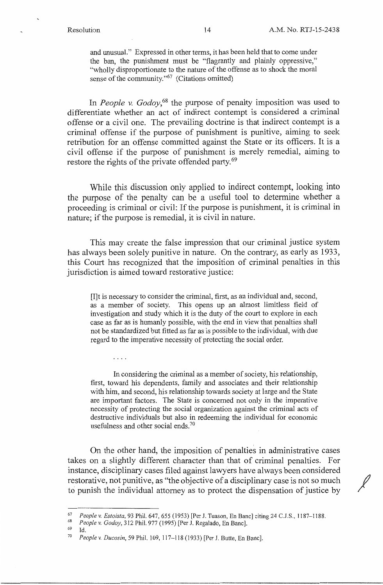and unusual." Expressed in other terms, it has been held that to come under the ban, the punishment must be "flagrantly and plainly oppressive," "wholly disproportionate to the nature of the offense as to shock the moral sense of the community."<sup>67</sup> (Citations omitted)

In *People v. Godoy*,<sup>68</sup> the purpose of penalty imposition was used to differentiate whether an act of indirect contempt is considered a criminal offense or a civil one. The prevailing doctrine is that indirect contempt is a criminal offense if the purpose of punishment is punitive, aiming to seek retribution for an offense committed against the State or its officers. It is a civil offense if the purpose of punishment is merely remedial, aiming to restore the rights of the private offended party.<sup>69</sup>

While this discussion only applied to indirect contempt, looking into the purpose of the penalty can be a useful tool to determine whether a proceeding is criminal or civil: If the purpose is punishment, it is criminal in nature; if the purpose is remedial, it is civil in nature.

This may create the false impression that our criminal justice system has always been solely punitive in nature. On the contrary, as early as 1933, this Court has recognized that the imposition of criminal penalties in this jurisdiction is aimed toward restorative justice:

[I]t is necessary to consider the criminal, first, as an individual and, second, as a member of society. This opens up an almost limitless field of investigation and study which it is the duty of the court to explore in each case as far as is humanly possible, with the end in view that penalties shall not be standardized but fitted as far as is possible to the individual, with due regard to the imperative necessity of protecting the social order.

In considering the criminal as a member of society, his relationship, first, toward his dependents, family and associates and their relationship with him, and second, his relationship towards society at large and the State are important factors. The State is concerned not only in the imperative necessity of protecting the social organization against the criminal acts of destructive individuals but also in redeeming the individual for economic usefulness and other social ends.<sup>70</sup>

On the other hand, the imposition of penalties in administrative cases takes on a slightly different character than that of criminal penalties. For instance, disciplinary cases filed against lawyers have always been considered restorative, not punitive, as "the objective of a disciplinary case is not so much / to punish the individual attorney as to protect the dispensation of justice by

. . . .

69 Id.

<sup>67</sup>*People v. Estoista,* 93 Phil. 647,655 (1953) [Per J. Tuason, En Banc] citing 24 C.J.S., 1187-1188.

<sup>68</sup>*People v. Godoy,* 312 Phil. 977 (1995) [Per J. Regalado, En Banc].

<sup>70</sup>*People* v. *Ducosin,* 59 Phil. 109, 117-118 (1933) [Per J. Butte, En Banc].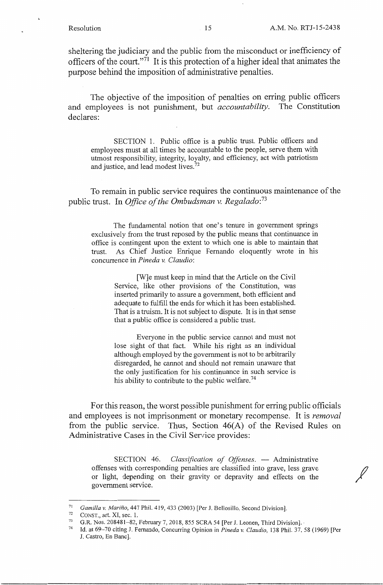sheltering the judiciary and the public from the misconduct or inefficiency of officers of the court."<sup>71</sup> It is this protection of a higher ideal that animates the purpose behind the imposition of administrative penalties.

The objective of the imposition of penalties on erring public officers and employees is not punishment, but *accountability.* The Constitution declares:

SECTION 1. Public office is a public trust. Public officers and employees must at all times be accountable to the people, serve them with utmost responsibility, integrity, loyalty, and efficiency, act with patriotism and justice, and lead modest lives.<sup>72</sup>

To remain in public service requires the continuous maintenance of the public trust. In *Office of the Ombudsman v. Regalado:* <sup>73</sup>

The fundamental notion that one's tenure in government springs exclusively from the trust reposed by the public means that continuance in office is contingent upon the extent to which one is able to maintain that trust. As Chief Justice Enrique Fernando eloquently wrote in his concurrence in *Pineda v. Claudio:* 

[W]e must keep in mind that the Article on the Civil Service, like other provisions of the Constitution, was inserted primarily to assure a government, both efficient and adequate to fulfill the ends for which it has been established. That is a truism. It is not subject to dispute. It is in that sense that a public office is considered a public trust.

Everyone in the public service cannot and must not lose sight of that fact. While his right as an individual although employed by the government is not to be arbitrarily disregarded, he cannot and should not remain unaware that the only justification for his continuance in such service is his ability to contribute to the public welfare.<sup>74</sup>

For this reason, the worst possible punishment for erring public officials and employees is not imprisonment or monetary recompense. It is *removal*  from the public service. Thus, Section 46(A) of the Revised Rules on Administrative Cases in the Civil Service provides:

SECTION 46. *Classification of Offenses*. - Administrative offenses with corresponding penalties are classified into grave, less grave or light, depending on their gravity or depravity and effects on the government service.

<sup>71</sup>*Camilla v. Marino,* 447 Phil. 419, 433 (2003) [Per J. Bellosillo, Second Division].

CONST., art. XI, sec. 1.

<sup>73</sup> G.R. Nos. 208481-82, February 7, 2018, 855 SCRA 54 [Per J. Leonen, Third Division].<br><sup>74</sup> H at 60. 70 siting J. Ferranda Consuming Opinion in *Riversen Claudia*, 128 Phil. 27.

<sup>74</sup> Id. at 69-70 citing J. Fernando, Concurring Opinion in *Pineda v. Claudio,* 138 Phil. 37, 58 (1969) [Per J. Castro, En Banc].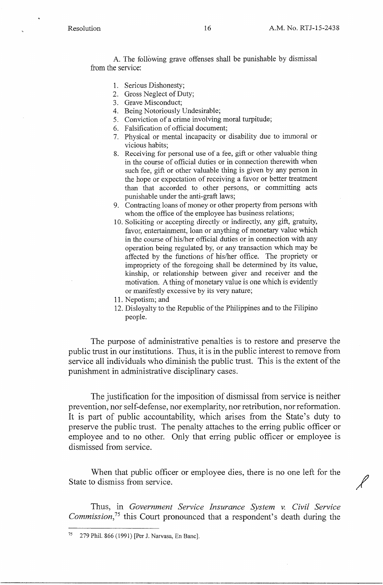A. The following grave offenses shall be punishable by dismissal from the service:

- 1. Serious Dishonesty;
- 2. Gross Neglect of Duty;
- 3. Grave Misconduct;
- 4. Being Notoriously Undesirable;
- 5. Conviction of a crime involving moral turpitude;
- 6. Falsification of official document;
- 7. Physical or mental incapacity or disability due to immoral or vicious habits;
- 8. Receiving for personal use of **a** fee, gift or other valuable thing in the course of official duties or in connection therewith when such fee, gift or other valuable thing is given by any person in the hope or expectation of receiving a favor or better treatment than that accorded to other persons, or committing acts punishable under the anti-graft laws;
- 9. Contracting loans of money or other property from persons with whom the office of the employee has business relations;
- 10. Soliciting or accepting directly or indirectly, any gift, gratuity, favor, entertainment, loan or anything of monetary value which in the course of his/her official duties or in connection with any operation being regulated by, or any transaction which may be affected by the functions of his/her office. The propriety or impropriety of the foregoing shall be determined by its value, kinship, or relationship between giver and receiver and the motivation. A thing of monetary value is one which is evidently or manifestly excessive by its very nature;
- 11. Nepotism; and
- 12. Disloyalty to the Republic of the Philippines and to the Filipino people.

The purpose of administrative penalties is to restore and preserve the public trust in our institutions. Thus, it is in the public interest to remove from service all individuals who diminish the public trust. This is the extent of the punishment in administrative disciplinary cases.

The justification for the imposition of dismissal from service is neither prevention, nor self-defense, nor exemplarity, nor retribution, nor reformation. It is part of public accountability, which arises from the State's duty to preserve the public trust. The penalty attaches to the erring public officer or employee and to no other. Only that erring public officer or employee is dismissed from service.

When that public officer or employee dies, there is no one left for the State to dismiss from service.

Thus, in *Government Service Insurance System v. Civil Service Commission,<sup>75</sup>*this Court pronounced that a respondent's death during the

<sup>279</sup> Phil. 866 (1991) [Per J. Narvasa, En Banc].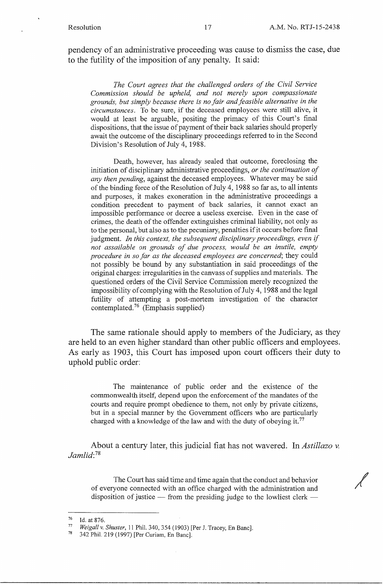/

pendency of an administrative proceeding was cause to dismiss the case, due to the futility of the imposition of any penalty. It said:

*The Court agrees that the challenged orders of the Civil Service Commission should be upheld, and not merely upon compassionate grounds, but simply because there is no fair and feasible alternative in the circumstances.* To be sure, if the deceased employees were still alive, it would at least be arguable, positing the primacy of this Court's final dispositions, that the issue of payment of their back salaries should properly await the outcome of the disciplinary proceedings referred to in the Second Division's Resolution of July 4, 1988.

Death, however, has already sealed that outcome, foreclosing the initiation of disciplinary administrative proceedings, *or the continuation of any then pending,* against the deceased employees. Whatever may be said of the binding force of the Resolution of July 4, 1988 so far as, to all intents and purposes, it makes exoneration in the administrative proceedings a condition precedent to payment of back salaries, it cannot exact an impossible performance or decree a useless exercise. Even in the case of crimes, the death of the offender extinguishes criminal liability, not only as to the personal, but also as to the pecuniary, penalties if it occurs before final judgment. *In this context, the subsequent disciplinary proceedings, even if not assailable on grounds of due process, would be an inutile, empty procedure in so far as the deceased employees are concerned;* they could not possibly be bound by any substantiation in said proceedings of the original charges: irregularities in the canvass of supplies and materials. The questioned orders of the Civil Service Commission merely recognized the impossibility of complying with the Resolution of July 4, 1988 and the legal futility of attempting a post-mortem investigation of the character contemplated.<sup>76</sup> (Emphasis supplied)

The same rationale should apply to members of the Judiciary, as they are held to an even higher standard than other public officers and employees. As early as 1903, this Court has imposed upon court officers their duty to uphold public order:

The maintenance of public order and the existence of the commonwealth itself, depend upon the enforcement of the mandates of the courts and require prompt obedience to them, not only by private citizens, but in a special manner by the Government officers who are particularly charged with a knowledge of the law and with the duty of obeying it.<sup>77</sup>

About a century later, this judicial fiat has not wavered. In *Astillazo* v. *Jamlid:* <sup>78</sup>

The Court has said time and time again that the conduct and behavior of everyone connected with an office charged with the administration and disposition of justice  $-$  from the presiding judge to the lowliest clerk  $-$ 

<sup>76</sup> Id. at 876.

<sup>77</sup> *Weigall v. Shuster*, 11 Phil. 340, 354 (1903) [Per J. Tracey, En Banc].

<sup>342</sup> Phil. 219 (1997) [Per Curiam, En Banc].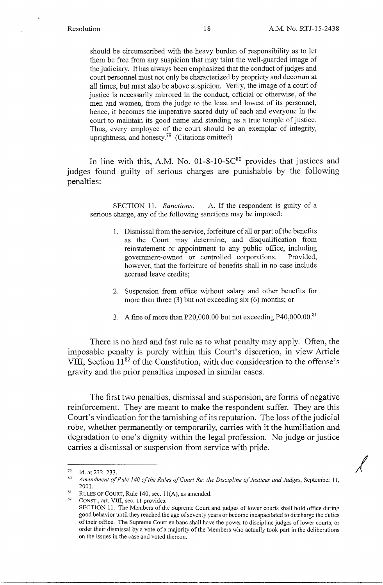should be circumscribed with the heavy burden of responsibility as to let them be free from any suspicion that may taint the well-guarded image of the judiciary. It has always been emphasized that the conduct of judges and court personnel must not only be characterized by propriety and decorum at all times, but must also be above suspicion. Verily, the image of a court of justice is necessarily mirrored in the conduct, official or otherwise, of the men and women, from the judge to the least and lowest of its personnel, hence, it becomes the imperative sacred duty of each and everyone in the court to maintain its good name and standing as a true temple of justice. Thus, every employee of the court should be an exemplar of integrity, uprightness, and honesty.<sup>79</sup> (Citations omitted)

In line with this, A.M. No.  $01-8-10-SC^{80}$  provides that justices and judges found guilty of serious charges are punishable by the following penalties:

SECTION 11. *Sanctions.* — A. If the respondent is guilty of a serious charge, any of the following sanctions may be imposed:

- 1. Dismissal from the service, forfeiture of all or part of the benefits as the Court may determine, and disqualification from reinstatement or appointment to any public office, including government-owned or controlled corporations. Provided, however, that the forfeiture of benefits shall in no case include accrued leave credits;
- 2. Suspension from office without salary and other benefits for more than three  $(3)$  but not exceeding six  $(6)$  months; or
- 3. A fine of more than P20,000.00 but not exceeding P40,000.00. <sup>81</sup>

There is no hard and fast rule as to what penalty may apply. Often, the imposable penalty is purely within this Court's discretion, in view Article VIII, Section  $11^{82}$  of the Constitution, with due consideration to the offense's gravity and the prior penalties imposed in similar cases.

The first two penalties, dismissal and suspension, are forms of negative reinforcement. They are meant to make the respondent suffer. They are this Court's vindication for the tarnishing of its reputation. The loss of the judicial robe, whether permanently or temporarily, carries with it the humiliation and degradation to one's dignity within the legal profession. No judge or justice carries a dismissal or suspension from service with pride.

 $79$  Id. at 232-233.

<sup>&</sup>lt;sup>80</sup> Amendment of Rule 140 of the Rules of Court Re: the Discipline of Justices and Judges, September 11, 2001.

<sup>&</sup>lt;sup>81</sup> RULES OF COURT, Rule 140, sec. 11(A), as amended.

CONST., art. VIII, sec. 11 provides:

SECTION 11. The Members of the Supreme Court and judges of lower courts shall hold office during good behavior until they reached the age of seventy years or become incapacitated to discharge the duties of their office. The Supreme Court en bane shall have the power to discipline judges of lower courts, or order their dismissal by a vote of a majority of the Members who actually took part in the deliberations on the issues in the case and voted thereon.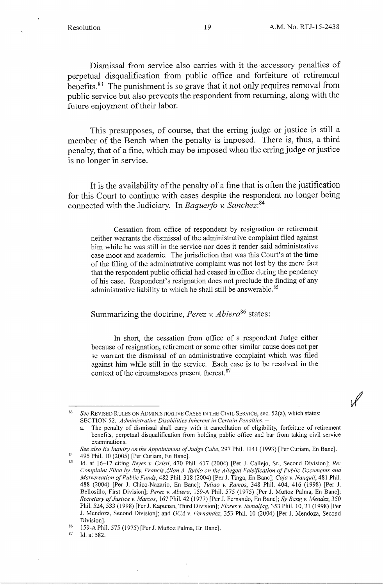Dismissal from service also carries with it the accessory penalties of perpetual disqualification from public office and forfeiture of retirement benefits. 83 The punishment is so grave that it not only requires removal from public service but also prevents the respondent from returning, along with the future enjoyment of their labor.

This presupposes, of course, that the erring judge or justice is still a member of the Bench when the penalty is imposed. There is, thus, a third penalty, that of a fine, which may be imposed when the erring judge or justice is no longer in service.

It is the availability of the penalty of a fine that is often the justification for this Court to continue with cases despite the respondent no longer being connected with the Judiciary. In *Baquerfo v. Sanchez: <sup>84</sup>*

Cessation from office of respondent by resignation or retirement neither warrants the dismissal of the administrative complaint filed against him while he was still in the service nor does it render said administrative case moot and academic. The jurisdiction that was this Court's at the time of the filing of the administrative complaint was not lost by the mere fact that the respondent public official had ceased in office during the pendency of his case. Respondent's resignation does not preclude the finding of any administrative liability to which he shall still be answerable. 85

Summarizing the doctrine, *Perez v. Abiera*<sup>86</sup> states:

In short, the cessation from office of a respondent Judge either because of resignation, retirement or some other similar cause does not per se warrant the dismissal of an administrative complaint which was filed against him while still in the service. Each case is to be resolved in the context of the circumstances present thereat.<sup>87</sup>

<sup>84</sup> 495 Phil. 10 (2005) [Per Curiam, En Banc].<br><sup>85</sup> 1d. at 16, 17 citing *Payes y Cristi, 470* Pl

 $87$  Id. at 582.

<sup>83</sup>*See* REVISED RULES ON ADMINISTRATIVE CASES IN THE CIVIL SERVICE, sec. 52(a), which states: SECTION 52. *Administrative Disabilities Inherent in Certain Penalties.* -

The penalty of dismissal shall carry with it cancellation of eligibility, forfeiture of retirement benefits, perpetual disqualification from holding public office and bar from taking civil service examinations.

*See also Re Inquiry on the Appointment of Judge Cube,* 297 Phil. 1141 (1993) [Per Curiam, En Banc].

<sup>1</sup>d. at 16-17 citing *Reyes v. Cristi*, 470 Phil. 617 (2004) [Per J. Callejo, Sr., Second Division]; *Re: Complaint Filed by Atty. Francis Allan A. Rubio on the Alleged Falsification of Public Documents and Malversation of Public Funds,* 482 Phil. 318 (2004) [Per J. Tinga, En Banc]; *Caja v. Nanquil,* 481 Phil. 488 (2004) [Per J. Chico-Nazario, En Banc]; *Tuliao v. Ramos,* 348 Phil. 404, 416 (1998) [Per J. Bellosillo, First Division]; *Perez v. Abiera,* 159-A Phil. 575 (1975) [Per J. Mufioz Palma, En Banc]; *Secretary of Justice v. Marcos,* 167 Phil. 42 (1977) [Per J. Fernando, En Banc]; *Sy Bangv. Mendez,* 350 Phil. 524, 533 (1998) [Per J. Kapunan, Third Division]; *Flores v. Sumaljag,* 353 Phil. 10, 21 (1998) [Per J. Mendoza, Second Division]; and *OCA v. Fernandez,* 353 Phil. 10 (2004) [Per J. Mendoza, Second Division].

<sup>&</sup>lt;sup>86</sup> 159-A Phil. 575 (1975) [Per J. Muñoz Palma, En Banc].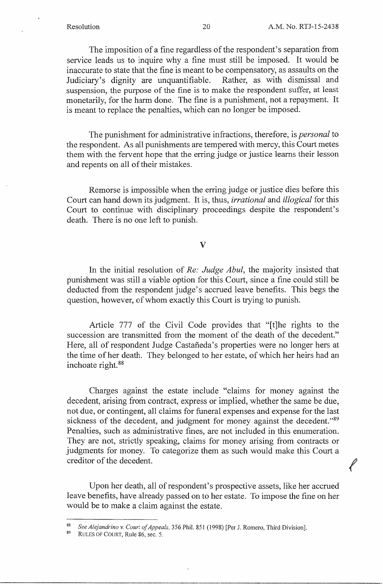*t* 

The imposition of a fine regardless of the respondent's separation from service leads us to inquire why a fine must still be imposed. It would be inaccurate to state that the fine is meant to be compensatory, as assaults on the Judiciary's dignity are unquantifiable. Rather, as with dismissal and Judiciary's dignity are unquantifiable. suspension, the purpose of the fine is to make the respondent suffer, at least monetarily, for the harm done. The fine is a punishment, not a repayment. It is meant to replace the penalties, which can no longer be imposed.

The punishment for administrative infractions, therefore, is *personal* to the respondent. As all punishments are tempered with mercy, this Court metes them with the fervent hope that the erring judge or justice learns their lesson and repents on all of their mistakes.

Remorse is impossible when the erring judge or justice dies before this Court can hand down its judgment. It is, thus, *irrational* and *illogical* for this Court to continue with disciplinary proceedings despite the respondent's death. There is no one left to punish.

#### V

In the initial resolution of *Re: Judge Abul,* the majority insisted that punishment was still a viable option for this Court, since a fine could still be deducted from the respondent judge's accrued leave benefits. This begs the question, however, of whom exactly this Court is trying to punish.

Article 777 of the Civil Code provides that "[t]he rights to the succession are transmitted from the moment of the death of the decedent." Here, all of respondent Judge Castañeda's properties were no longer hers at the time of her death. They belonged to her estate, of which her heirs had an inchoate right. 88

Charges against the estate include "claims for money against the decedent, arising from contract, express or implied, whether the same be due, not due, or contingent, all claims for funeral expenses and expense for the last sickness of the decedent, and judgment for money against the decedent."<sup>89</sup> Penalties, such as administrative fines, are not included in this enumeration. They are not, strictly speaking, claims for money arising from contracts or judgments for money. To categorize them as such would make this Court a creditor of the decedent.

Upon her death, all of respondent's prospective assets, like her accrued leave benefits, have already passed on to her estate. To impose the fine on her would be to make a claim against the estate.

<sup>88</sup>*See Alejandrina v. Court of Appeals,* 356 Phil. 85 I (I 998) [Per J. Romero, Third Division].

RULES OF COURT, Rule 86, sec. 5.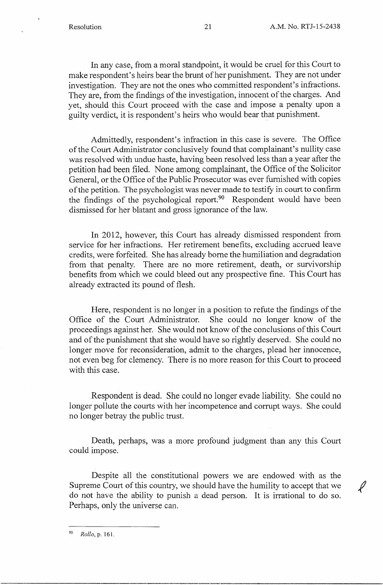In any case, from a moral standpoint, it would be cruel for this Court to make respondent's heirs bear the brunt of her punishment. They are not under investigation. They are not the ones who committed respondent's infractions. They are, from the findings of the investigation, innocent of the charges. And yet, should this Court proceed with the case and impose a penalty upon a guilty verdict, it is respondent's heirs who would bear that punishment.

Admittedly, respondent's infraction in this case is severe. The Office of the Court Administrator conclusively found that complainant's nullity case was resolved with undue haste, having been resolved less than a year after the petition had been filed. None among complainant, the Office of the Solicitor General, or the Office of the Public Prosecutor was ever furnished with copies of the petition. The psychologist was never made to testify in court to confirm the findings of the psychological report<sup>190</sup> Respondent would have been dismissed for her blatant and gross ignorance of the law.

In 2012, however, this Court has already dismissed respondent from service for her infractions. Her retirement benefits, excluding accrued leave credits, were forfeited. She has already borne the humiliation and degradation from that penalty. There are no more retirement, death, or survivorship benefits from which we could bleed out any prospective fine. This Court has already extracted its pound of flesh.

Here, respondent is no longer in a position to refute the findings of the Office of the Court Administrator. She could no longer know of the proceedings against her. She would not know of the conclusions of this Court and of the punishment that she would have so rightly deserved. She could no longer move for reconsideration, admit to the charges, plead her innocence, not even beg for clemency. There is no more reason for this Court to proceed with this case.

Respondent is dead. She could no longer evade liability. She could no longer pollute the courts with her incompetence and corrupt ways. She could no longer betray the public trust.

Death, perhaps, was a more profound judgment than any this Court could impose.

Despite all the constitutional powers we are endowed with as the Supreme Court of this country, we should have the humility to accept that we / do not have the ability to punish a dead person. It is irrational to do so. Perhaps, only the universe can.

<sup>90</sup>*Rollo,* p. 161.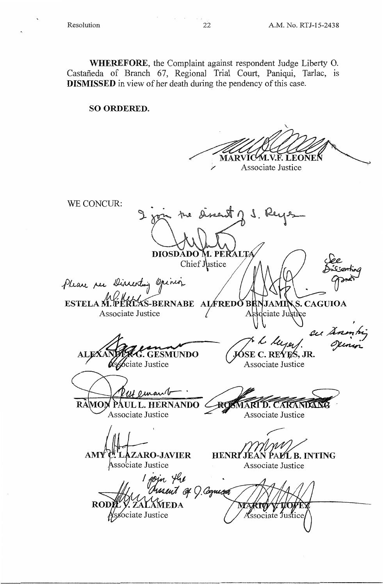**WHEREFORE,** the Complaint against respondent Judge Liberty 0. Castañeda of Branch 67, Regional Trial Court, Paniqui, Tarlac, is **DISMISSED** in view of her death during the pendency of this case.

### **SO ORDERED.**

'-MAR Associate Justice

WE CONCUR: Sinent  $\eta$  . DIOSDĂDO M. PERALTA *Jee,*  Chief Justice Please ree Discerting **ESTELA M.PERLAS-BERNABE ALFREDO BE S. CAGUIOA** JAMI Associate Justice  $\angle$  Associate Justi , /7 ,{, ,L,-. *,(,-* GESMUNDO *(JC>~E* **C.\_ RE4~ JR.**  ciate Justice Associate Justice **RAMO** PAUL L. HERNANDO 2 ROSMARI D. CARANDANG Associate Justice Associate Justice AMY`C'.`LAZARO-JAVIER HENRI'JEAN PALL B. INTING Associate Justice Associate Justice I jojn the <sup>f</sup>ussent of 0 Coquicer ROD LAMEDA sociate Justice Associate Justice